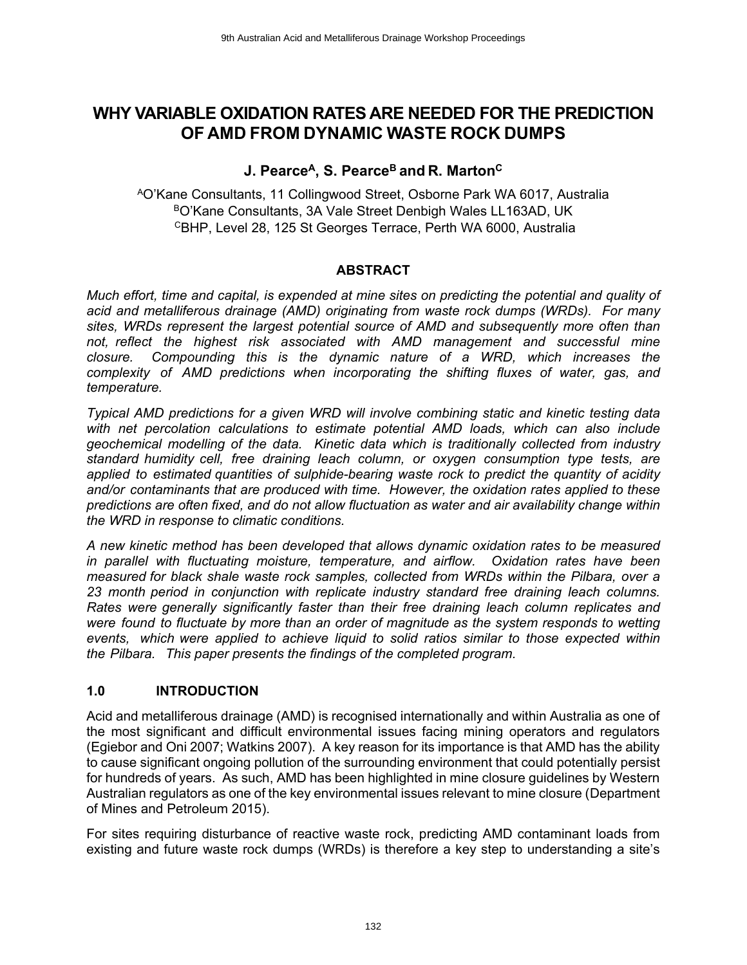# **WHY VARIABLE OXIDATION RATES ARE NEEDED FOR THE PREDICTION OF AMD FROM DYNAMIC WASTE ROCK DUMPS**

# **J. Pearce<sup>A</sup>, S. Pearce<sup>B</sup>and R. Marton<sup>C</sup>**

<sup>A</sup>O'Kane Consultants, 11 Collingwood Street, Osborne Park WA 6017, Australia BO'Kane Consultants, 3A Vale Street Denbigh Wales LL163AD, UK <sup>C</sup>BHP, Level 28, 125 St Georges Terrace, Perth WA 6000, Australia

## **ABSTRACT**

*Much effort, time and capital, is expended at mine sites on predicting the potential and quality of acid and metalliferous drainage (AMD) originating from waste rock dumps (WRDs). For many sites, WRDs represent the largest potential source of AMD and subsequently more often than not, reflect the highest risk associated with AMD management and successful mine closure. Compounding this is the dynamic nature of a WRD, which increases the complexity of AMD predictions when incorporating the shifting fluxes of water, gas, and temperature.* 

*Typical AMD predictions for a given WRD will involve combining static and kinetic testing data with net percolation calculations to estimate potential AMD loads, which can also include geochemical modelling of the data. Kinetic data which is traditionally collected from industry standard humidity cell, free draining leach column, or oxygen consumption type tests, are applied to estimated quantities of sulphide-bearing waste rock to predict the quantity of acidity and/or contaminants that are produced with time. However, the oxidation rates applied to these predictions are often fixed, and do not allow fluctuation as water and air availability change within the WRD in response to climatic conditions.* 

*A new kinetic method has been developed that allows dynamic oxidation rates to be measured in parallel with fluctuating moisture, temperature, and airflow. Oxidation rates have been measured for black shale waste rock samples, collected from WRDs within the Pilbara, over a 23 month period in conjunction with replicate industry standard free draining leach columns. Rates were generally significantly faster than their free draining leach column replicates and were found to fluctuate by more than an order of magnitude as the system responds to wetting events, which were applied to achieve liquid to solid ratios similar to those expected within the Pilbara. This paper presents the findings of the completed program.* 

## **1.0 INTRODUCTION**

Acid and metalliferous drainage (AMD) is recognised internationally and within Australia as one of the most significant and difficult environmental issues facing mining operators and regulators (Egiebor and Oni 2007; Watkins 2007). A key reason for its importance is that AMD has the ability to cause significant ongoing pollution of the surrounding environment that could potentially persist for hundreds of years. As such, AMD has been highlighted in mine closure guidelines by Western Australian regulators as one of the key environmental issues relevant to mine closure (Department of Mines and Petroleum 2015).

For sites requiring disturbance of reactive waste rock, predicting AMD contaminant loads from existing and future waste rock dumps (WRDs) is therefore a key step to understanding a site's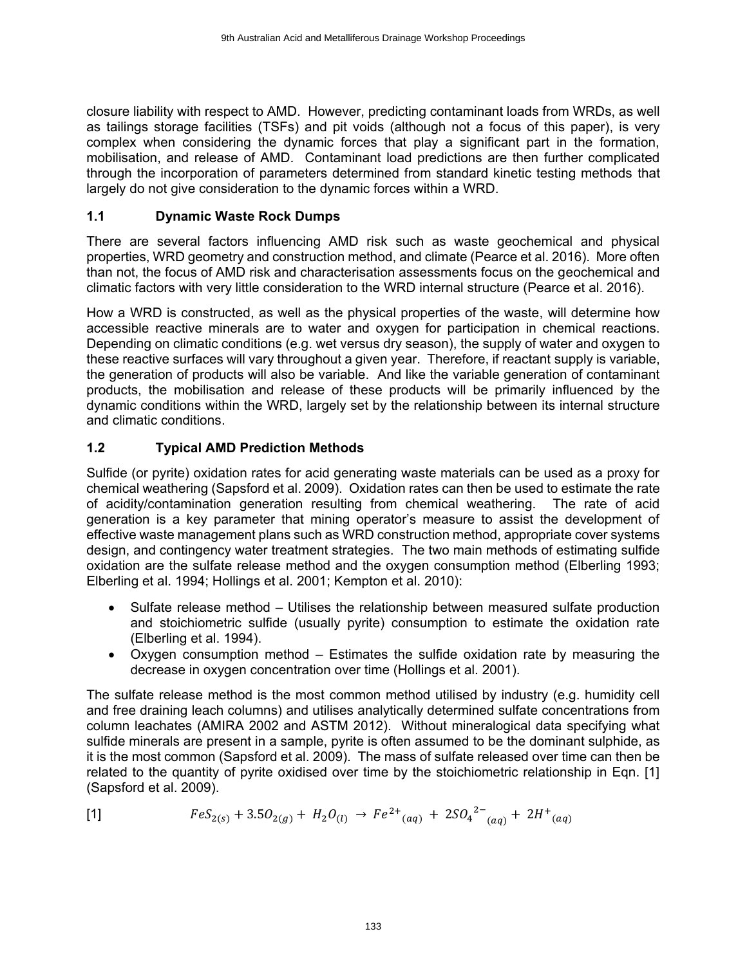closure liability with respect to AMD. However, predicting contaminant loads from WRDs, as well as tailings storage facilities (TSFs) and pit voids (although not a focus of this paper), is very complex when considering the dynamic forces that play a significant part in the formation, mobilisation, and release of AMD. Contaminant load predictions are then further complicated through the incorporation of parameters determined from standard kinetic testing methods that largely do not give consideration to the dynamic forces within a WRD.

#### **1.1 Dynamic Waste Rock Dumps**

There are several factors influencing AMD risk such as waste geochemical and physical properties, WRD geometry and construction method, and climate (Pearce et al. 2016). More often than not, the focus of AMD risk and characterisation assessments focus on the geochemical and climatic factors with very little consideration to the WRD internal structure (Pearce et al. 2016).

How a WRD is constructed, as well as the physical properties of the waste, will determine how accessible reactive minerals are to water and oxygen for participation in chemical reactions. Depending on climatic conditions (e.g. wet versus dry season), the supply of water and oxygen to these reactive surfaces will vary throughout a given year. Therefore, if reactant supply is variable, the generation of products will also be variable. And like the variable generation of contaminant products, the mobilisation and release of these products will be primarily influenced by the dynamic conditions within the WRD, largely set by the relationship between its internal structure and climatic conditions.

## **1.2 Typical AMD Prediction Methods**

Sulfide (or pyrite) oxidation rates for acid generating waste materials can be used as a proxy for chemical weathering (Sapsford et al. 2009). Oxidation rates can then be used to estimate the rate of acidity/contamination generation resulting from chemical weathering. The rate of acid generation is a key parameter that mining operator's measure to assist the development of effective waste management plans such as WRD construction method, appropriate cover systems design, and contingency water treatment strategies. The two main methods of estimating sulfide oxidation are the sulfate release method and the oxygen consumption method (Elberling 1993; Elberling et al. 1994; Hollings et al. 2001; Kempton et al. 2010):

- Sulfate release method Utilises the relationship between measured sulfate production and stoichiometric sulfide (usually pyrite) consumption to estimate the oxidation rate (Elberling et al. 1994).
- Oxygen consumption method Estimates the sulfide oxidation rate by measuring the decrease in oxygen concentration over time (Hollings et al. 2001).

The sulfate release method is the most common method utilised by industry (e.g. humidity cell and free draining leach columns) and utilises analytically determined sulfate concentrations from column leachates (AMIRA 2002 and ASTM 2012). Without mineralogical data specifying what sulfide minerals are present in a sample, pyrite is often assumed to be the dominant sulphide, as it is the most common (Sapsford et al. 2009). The mass of sulfate released over time can then be related to the quantity of pyrite oxidised over time by the stoichiometric relationship in Eqn. [1] (Sapsford et al. 2009).

[1] 
$$
FeS_{2(s)} + 3.5O_{2(g)} + H_2O_{(l)} \rightarrow Fe^{2+}(aq) + 2SO_4^{2-}(aq) + 2H^+(aq)
$$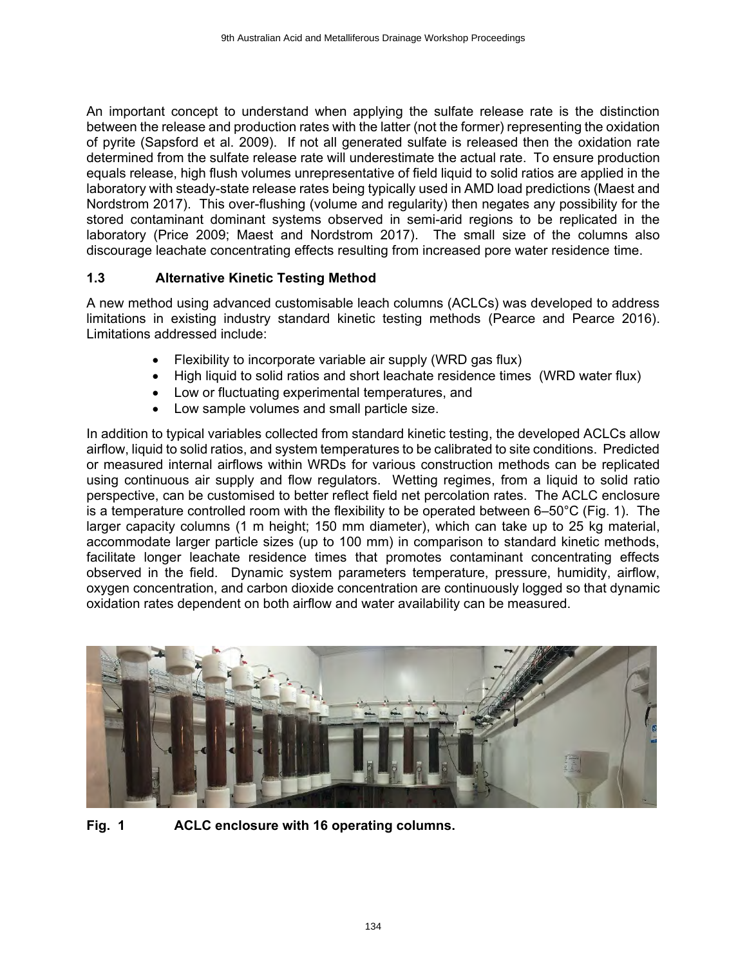An important concept to understand when applying the sulfate release rate is the distinction between the release and production rates with the latter (not the former) representing the oxidation of pyrite (Sapsford et al. 2009). If not all generated sulfate is released then the oxidation rate determined from the sulfate release rate will underestimate the actual rate. To ensure production equals release, high flush volumes unrepresentative of field liquid to solid ratios are applied in the laboratory with steady-state release rates being typically used in AMD load predictions (Maest and Nordstrom 2017). This over-flushing (volume and regularity) then negates any possibility for the stored contaminant dominant systems observed in semi-arid regions to be replicated in the laboratory (Price 2009; Maest and Nordstrom 2017). The small size of the columns also discourage leachate concentrating effects resulting from increased pore water residence time.

## **1.3 Alternative Kinetic Testing Method**

A new method using advanced customisable leach columns (ACLCs) was developed to address limitations in existing industry standard kinetic testing methods (Pearce and Pearce 2016). Limitations addressed include:

- Flexibility to incorporate variable air supply (WRD gas flux)
- High liquid to solid ratios and short leachate residence times (WRD water flux)
- Low or fluctuating experimental temperatures, and
- Low sample volumes and small particle size.

In addition to typical variables collected from standard kinetic testing, the developed ACLCs allow airflow, liquid to solid ratios, and system temperatures to be calibrated to site conditions. Predicted or measured internal airflows within WRDs for various construction methods can be replicated using continuous air supply and flow regulators. Wetting regimes, from a liquid to solid ratio perspective, can be customised to better reflect field net percolation rates. The ACLC enclosure is a temperature controlled room with the flexibility to be operated between 6–50°C (Fig. 1). The larger capacity columns (1 m height; 150 mm diameter), which can take up to 25 kg material, accommodate larger particle sizes (up to 100 mm) in comparison to standard kinetic methods, facilitate longer leachate residence times that promotes contaminant concentrating effects observed in the field. Dynamic system parameters temperature, pressure, humidity, airflow, oxygen concentration, and carbon dioxide concentration are continuously logged so that dynamic oxidation rates dependent on both airflow and water availability can be measured.



**Fig. 1 ACLC enclosure with 16 operating columns.**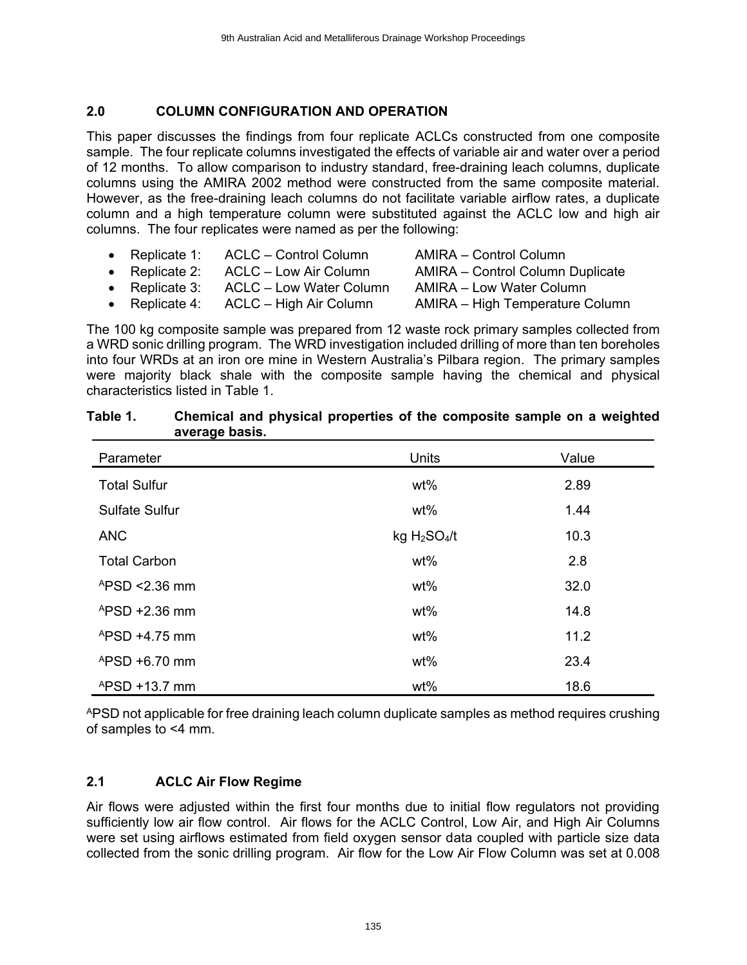#### **2.0 COLUMN CONFIGURATION AND OPERATION**

This paper discusses the findings from four replicate ACLCs constructed from one composite sample. The four replicate columns investigated the effects of variable air and water over a period of 12 months. To allow comparison to industry standard, free-draining leach columns, duplicate columns using the AMIRA 2002 method were constructed from the same composite material. However, as the free-draining leach columns do not facilitate variable airflow rates, a duplicate column and a high temperature column were substituted against the ACLC low and high air columns. The four replicates were named as per the following:

- Replicate 1: ACLC Control Column AMIRA Control Column • Replicate 2: ACLC – Low Air Column MMIRA – Control Column Duplicate • Replicate 3: ACLC – Low Water Column AMIRA – Low Water Column
- Replicate 4: ACLC High Air Column AMIRA High Temperature Column

The 100 kg composite sample was prepared from 12 waste rock primary samples collected from a WRD sonic drilling program. The WRD investigation included drilling of more than ten boreholes into four WRDs at an iron ore mine in Western Australia's Pilbara region. The primary samples were majority black shale with the composite sample having the chemical and physical characteristics listed in Table 1.

| Parameter                  | Units                                | Value |
|----------------------------|--------------------------------------|-------|
| <b>Total Sulfur</b>        | wt%                                  | 2.89  |
| <b>Sulfate Sulfur</b>      | wt%                                  | 1.44  |
| <b>ANC</b>                 | kg H <sub>2</sub> SO <sub>4</sub> /t | 10.3  |
| <b>Total Carbon</b>        | wt%                                  | 2.8   |
| $APSD < 2.36$ mm           | wt%                                  | 32.0  |
| $APSD + 2.36$ mm           | wt%                                  | 14.8  |
| $APSD + 4.75$ mm           | wt%                                  | 11.2  |
| $^{\text{A}}$ PSD +6.70 mm | wt%                                  | 23.4  |
| $APSD + 13.7$ mm           | wt%                                  | 18.6  |

#### **Table 1. Chemical and physical properties of the composite sample on a weighted average basis.**

APSD not applicable for free draining leach column duplicate samples as method requires crushing of samples to <4 mm.

## **2.1 ACLC Air Flow Regime**

Air flows were adjusted within the first four months due to initial flow regulators not providing sufficiently low air flow control. Air flows for the ACLC Control, Low Air, and High Air Columns were set using airflows estimated from field oxygen sensor data coupled with particle size data collected from the sonic drilling program. Air flow for the Low Air Flow Column was set at 0.008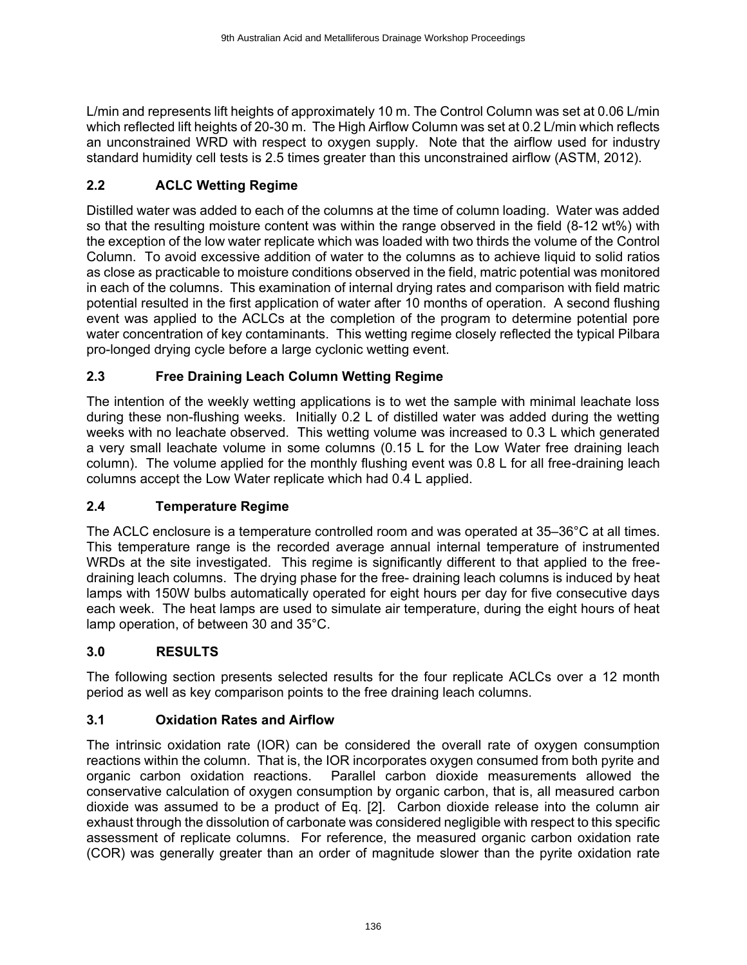L/min and represents lift heights of approximately 10 m. The Control Column was set at 0.06 L/min which reflected lift heights of 20-30 m. The High Airflow Column was set at 0.2 L/min which reflects an unconstrained WRD with respect to oxygen supply. Note that the airflow used for industry standard humidity cell tests is 2.5 times greater than this unconstrained airflow (ASTM, 2012).

# **2.2 ACLC Wetting Regime**

Distilled water was added to each of the columns at the time of column loading. Water was added so that the resulting moisture content was within the range observed in the field (8-12 wt%) with the exception of the low water replicate which was loaded with two thirds the volume of the Control Column. To avoid excessive addition of water to the columns as to achieve liquid to solid ratios as close as practicable to moisture conditions observed in the field, matric potential was monitored in each of the columns. This examination of internal drying rates and comparison with field matric potential resulted in the first application of water after 10 months of operation. A second flushing event was applied to the ACLCs at the completion of the program to determine potential pore water concentration of key contaminants. This wetting regime closely reflected the typical Pilbara pro-longed drying cycle before a large cyclonic wetting event.

# **2.3 Free Draining Leach Column Wetting Regime**

The intention of the weekly wetting applications is to wet the sample with minimal leachate loss during these non-flushing weeks. Initially 0.2 L of distilled water was added during the wetting weeks with no leachate observed. This wetting volume was increased to 0.3 L which generated a very small leachate volume in some columns (0.15 L for the Low Water free draining leach column). The volume applied for the monthly flushing event was 0.8 L for all free-draining leach columns accept the Low Water replicate which had 0.4 L applied.

## **2.4 Temperature Regime**

The ACLC enclosure is a temperature controlled room and was operated at 35–36°C at all times. This temperature range is the recorded average annual internal temperature of instrumented WRDs at the site investigated. This regime is significantly different to that applied to the freedraining leach columns. The drying phase for the free- draining leach columns is induced by heat lamps with 150W bulbs automatically operated for eight hours per day for five consecutive days each week. The heat lamps are used to simulate air temperature, during the eight hours of heat lamp operation, of between 30 and 35°C.

## **3.0 RESULTS**

The following section presents selected results for the four replicate ACLCs over a 12 month period as well as key comparison points to the free draining leach columns.

## **3.1 Oxidation Rates and Airflow**

The intrinsic oxidation rate (IOR) can be considered the overall rate of oxygen consumption reactions within the column. That is, the IOR incorporates oxygen consumed from both pyrite and organic carbon oxidation reactions. Parallel carbon dioxide measurements allowed the conservative calculation of oxygen consumption by organic carbon, that is, all measured carbon dioxide was assumed to be a product of Eq. [2]. Carbon dioxide release into the column air exhaust through the dissolution of carbonate was considered negligible with respect to this specific assessment of replicate columns. For reference, the measured organic carbon oxidation rate (COR) was generally greater than an order of magnitude slower than the pyrite oxidation rate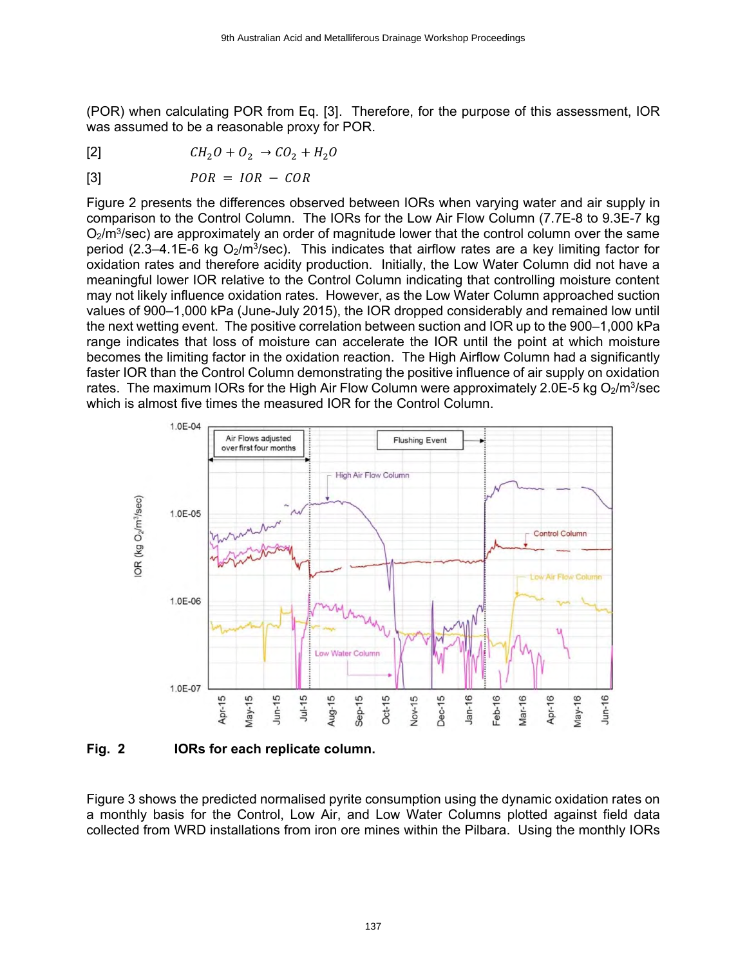(POR) when calculating POR from Eq. [3]. Therefore, for the purpose of this assessment, IOR was assumed to be a reasonable proxy for POR.

[2]  $CH_2O + O_2 \rightarrow CO_2 + H_2O$ 

$$
POR = IOR - COR
$$

Figure 2 presents the differences observed between IORs when varying water and air supply in comparison to the Control Column. The IORs for the Low Air Flow Column (7.7E-8 to 9.3E-7 kg  $O<sub>2</sub>/m<sup>3</sup>/sec$ ) are approximately an order of magnitude lower that the control column over the same period (2.3–4.1E-6 kg O<sub>2</sub>/m<sup>3</sup>/sec). This indicates that airflow rates are a key limiting factor for oxidation rates and therefore acidity production. Initially, the Low Water Column did not have a meaningful lower IOR relative to the Control Column indicating that controlling moisture content may not likely influence oxidation rates. However, as the Low Water Column approached suction values of 900–1,000 kPa (June-July 2015), the IOR dropped considerably and remained low until the next wetting event. The positive correlation between suction and IOR up to the 900–1,000 kPa range indicates that loss of moisture can accelerate the IOR until the point at which moisture becomes the limiting factor in the oxidation reaction. The High Airflow Column had a significantly faster IOR than the Control Column demonstrating the positive influence of air supply on oxidation rates. The maximum IORs for the High Air Flow Column were approximately 2.0E-5 kg O $_2$ /m $^3$ /sec which is almost five times the measured IOR for the Control Column.



**Fig. 2 IORs for each replicate column.**

Figure 3 shows the predicted normalised pyrite consumption using the dynamic oxidation rates on a monthly basis for the Control, Low Air, and Low Water Columns plotted against field data collected from WRD installations from iron ore mines within the Pilbara. Using the monthly IORs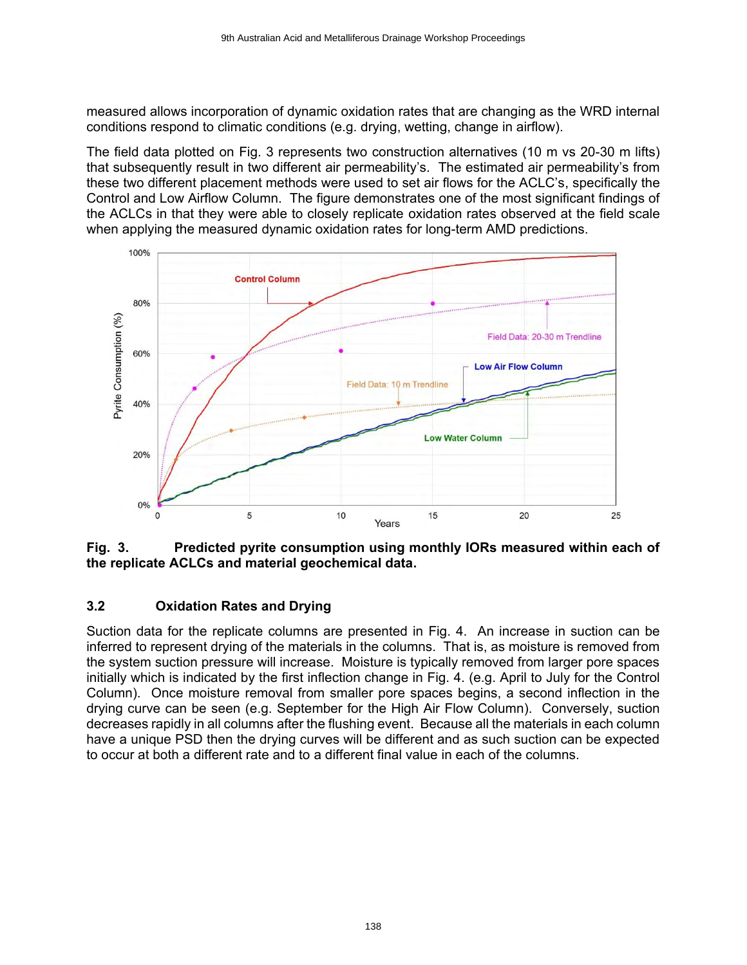measured allows incorporation of dynamic oxidation rates that are changing as the WRD internal conditions respond to climatic conditions (e.g. drying, wetting, change in airflow).

The field data plotted on Fig. 3 represents two construction alternatives (10 m vs 20-30 m lifts) that subsequently result in two different air permeability's. The estimated air permeability's from these two different placement methods were used to set air flows for the ACLC's, specifically the Control and Low Airflow Column. The figure demonstrates one of the most significant findings of the ACLCs in that they were able to closely replicate oxidation rates observed at the field scale when applying the measured dynamic oxidation rates for long-term AMD predictions.



**Fig. 3. Predicted pyrite consumption using monthly IORs measured within each of the replicate ACLCs and material geochemical data.**

## **3.2 Oxidation Rates and Drying**

Suction data for the replicate columns are presented in Fig. 4. An increase in suction can be inferred to represent drying of the materials in the columns. That is, as moisture is removed from the system suction pressure will increase. Moisture is typically removed from larger pore spaces initially which is indicated by the first inflection change in Fig. 4. (e.g. April to July for the Control Column). Once moisture removal from smaller pore spaces begins, a second inflection in the drying curve can be seen (e.g. September for the High Air Flow Column). Conversely, suction decreases rapidly in all columns after the flushing event. Because all the materials in each column have a unique PSD then the drying curves will be different and as such suction can be expected to occur at both a different rate and to a different final value in each of the columns.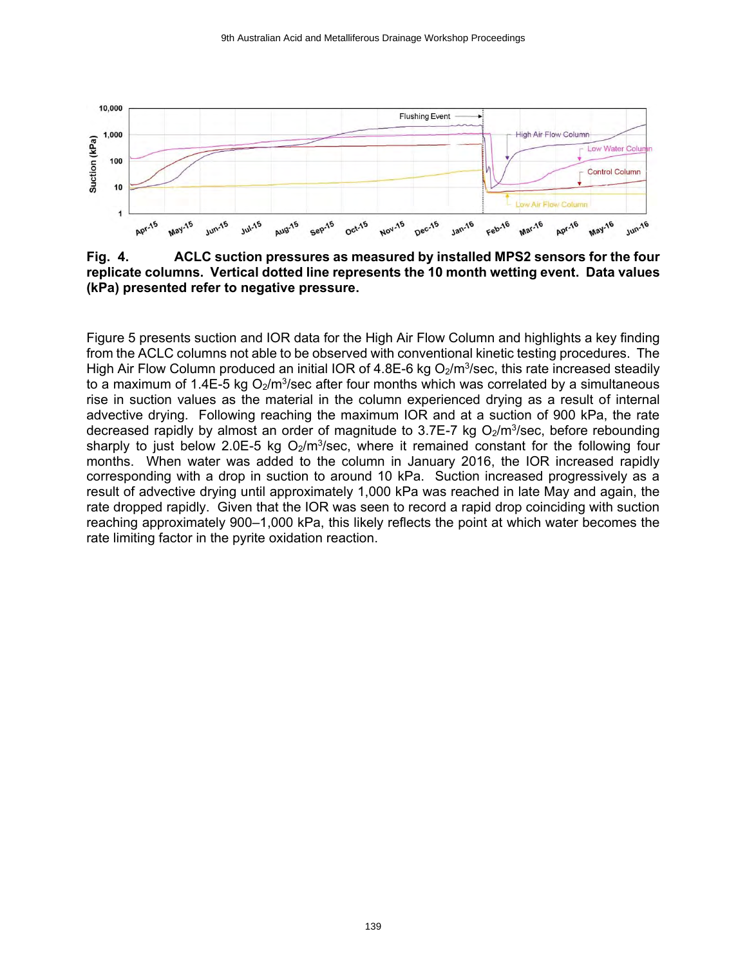

**Fig. 4. ACLC suction pressures as measured by installed MPS2 sensors for the four replicate columns. Vertical dotted line represents the 10 month wetting event. Data values (kPa) presented refer to negative pressure.**

Figure 5 presents suction and IOR data for the High Air Flow Column and highlights a key finding from the ACLC columns not able to be observed with conventional kinetic testing procedures. The High Air Flow Column produced an initial IOR of 4.8E-6 kg O<sub>2</sub>/m<sup>3</sup>/sec, this rate increased steadily to a maximum of 1.4E-5 kg O $_2$ /m $^3$ /sec after four months which was correlated by a simultaneous rise in suction values as the material in the column experienced drying as a result of internal advective drying. Following reaching the maximum IOR and at a suction of 900 kPa, the rate decreased rapidly by almost an order of magnitude to 3.7E-7 kg O<sub>2</sub>/m<sup>3</sup>/sec, before rebounding sharply to just below 2.0E-5 kg  $O_2/m^3$ /sec, where it remained constant for the following four months. When water was added to the column in January 2016, the IOR increased rapidly corresponding with a drop in suction to around 10 kPa. Suction increased progressively as a result of advective drying until approximately 1,000 kPa was reached in late May and again, the rate dropped rapidly. Given that the IOR was seen to record a rapid drop coinciding with suction reaching approximately 900–1,000 kPa, this likely reflects the point at which water becomes the rate limiting factor in the pyrite oxidation reaction.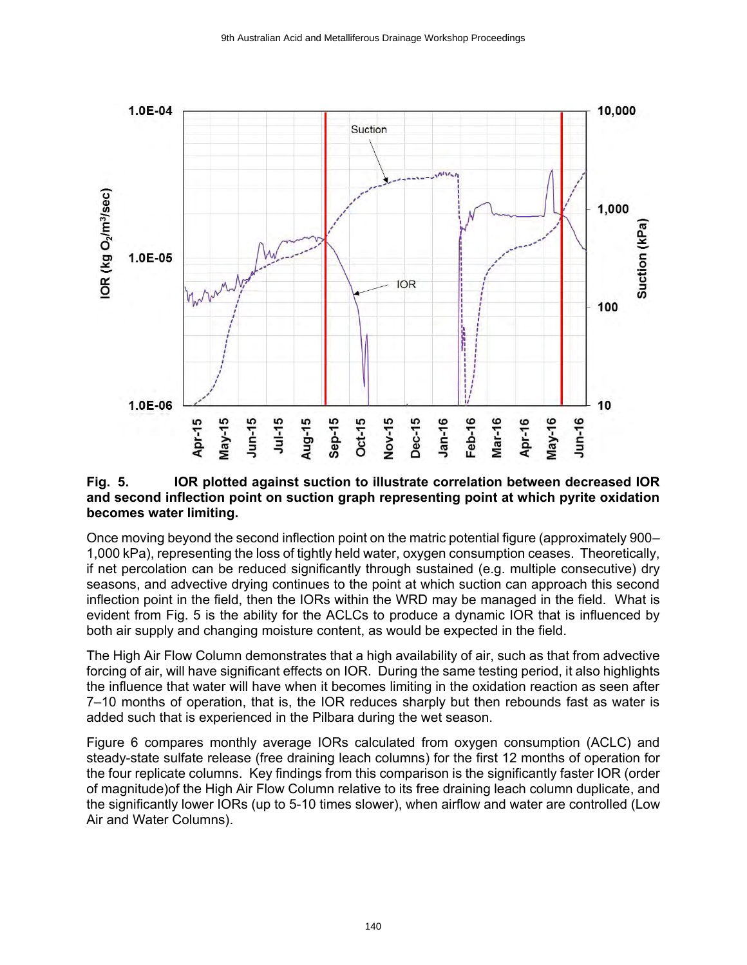

#### **Fig. 5. IOR plotted against suction to illustrate correlation between decreased IOR and second inflection point on suction graph representing point at which pyrite oxidation becomes water limiting.**

Once moving beyond the second inflection point on the matric potential figure (approximately 900– 1,000 kPa), representing the loss of tightly held water, oxygen consumption ceases. Theoretically, if net percolation can be reduced significantly through sustained (e.g. multiple consecutive) dry seasons, and advective drying continues to the point at which suction can approach this second inflection point in the field, then the IORs within the WRD may be managed in the field. What is evident from Fig. 5 is the ability for the ACLCs to produce a dynamic IOR that is influenced by both air supply and changing moisture content, as would be expected in the field.

The High Air Flow Column demonstrates that a high availability of air, such as that from advective forcing of air, will have significant effects on IOR. During the same testing period, it also highlights the influence that water will have when it becomes limiting in the oxidation reaction as seen after 7–10 months of operation, that is, the IOR reduces sharply but then rebounds fast as water is added such that is experienced in the Pilbara during the wet season.

Figure 6 compares monthly average IORs calculated from oxygen consumption (ACLC) and steady-state sulfate release (free draining leach columns) for the first 12 months of operation for the four replicate columns. Key findings from this comparison is the significantly faster IOR (order of magnitude)of the High Air Flow Column relative to its free draining leach column duplicate, and the significantly lower IORs (up to 5-10 times slower), when airflow and water are controlled (Low Air and Water Columns).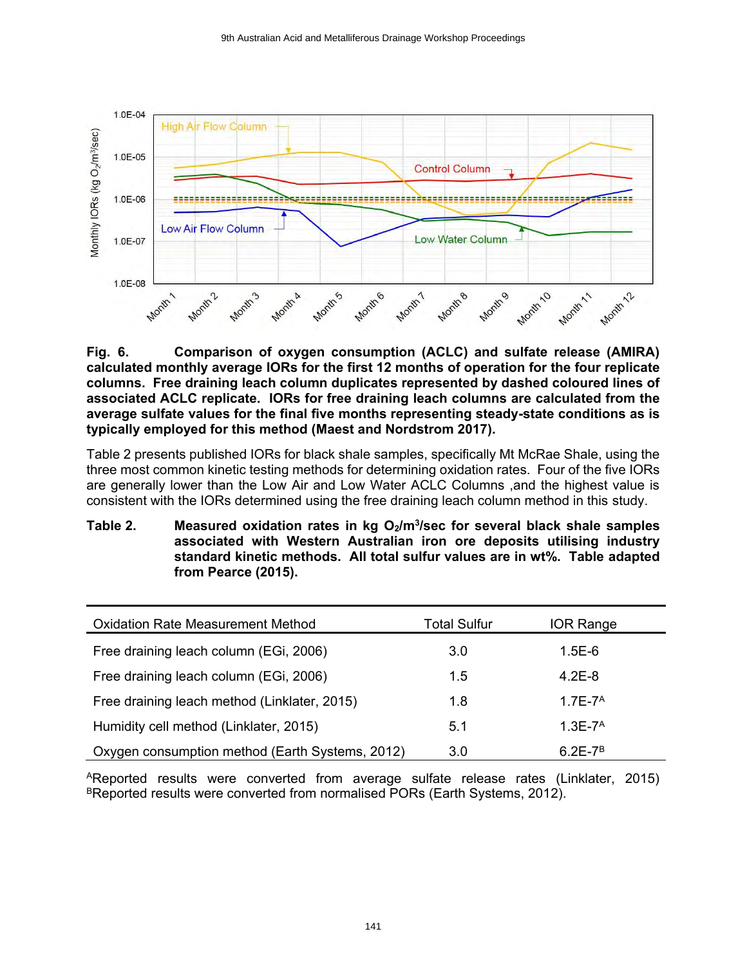

**Fig. 6. Comparison of oxygen consumption (ACLC) and sulfate release (AMIRA) calculated monthly average IORs for the first 12 months of operation for the four replicate columns. Free draining leach column duplicates represented by dashed coloured lines of associated ACLC replicate. IORs for free draining leach columns are calculated from the average sulfate values for the final five months representing steady-state conditions as is typically employed for this method (Maest and Nordstrom 2017).**

Table 2 presents published IORs for black shale samples, specifically Mt McRae Shale, using the three most common kinetic testing methods for determining oxidation rates. Four of the five IORs are generally lower than the Low Air and Low Water ACLC Columns ,and the highest value is consistent with the IORs determined using the free draining leach column method in this study.

**Table 2. Measured oxidation rates in kg O2/m<sup>3</sup> /sec for several black shale samples associated with Western Australian iron ore deposits utilising industry standard kinetic methods. All total sulfur values are in wt%. Table adapted from Pearce (2015).**

| <b>Oxidation Rate Measurement Method</b>        | <b>Total Sulfur</b> | <b>IOR Range</b> |
|-------------------------------------------------|---------------------|------------------|
| Free draining leach column (EGi, 2006)          | 3.0                 | $1.5E-6$         |
| Free draining leach column (EGi, 2006)          | 1.5                 | $4.2E - 8$       |
| Free draining leach method (Linklater, 2015)    | 1.8                 | $1.7E - 7A$      |
| Humidity cell method (Linklater, 2015)          | 5.1                 | $1.3E - 7A$      |
| Oxygen consumption method (Earth Systems, 2012) | 3.0                 | $6.2E - 7B$      |

<sup>A</sup>Reported results were converted from average sulfate release rates (Linklater, 2015) BReported results were converted from normalised PORs (Earth Systems, 2012).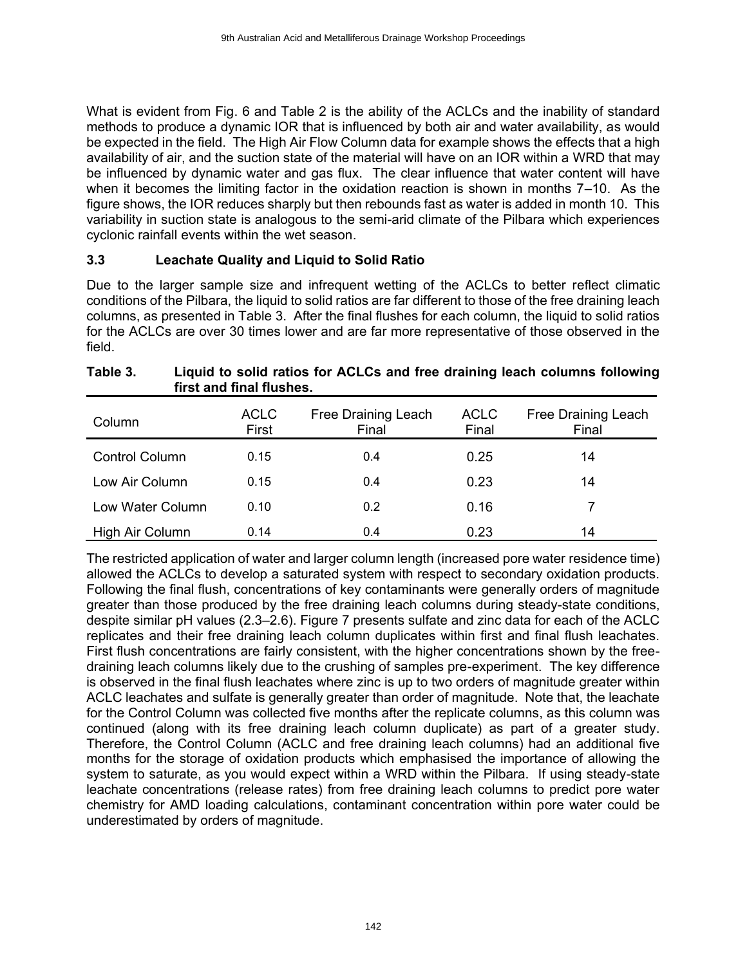What is evident from Fig. 6 and Table 2 is the ability of the ACLCs and the inability of standard methods to produce a dynamic IOR that is influenced by both air and water availability, as would be expected in the field. The High Air Flow Column data for example shows the effects that a high availability of air, and the suction state of the material will have on an IOR within a WRD that may be influenced by dynamic water and gas flux. The clear influence that water content will have when it becomes the limiting factor in the oxidation reaction is shown in months 7–10. As the figure shows, the IOR reduces sharply but then rebounds fast as water is added in month 10. This variability in suction state is analogous to the semi-arid climate of the Pilbara which experiences cyclonic rainfall events within the wet season.

#### **3.3 Leachate Quality and Liquid to Solid Ratio**

Due to the larger sample size and infrequent wetting of the ACLCs to better reflect climatic conditions of the Pilbara, the liquid to solid ratios are far different to those of the free draining leach columns, as presented in Table 3. After the final flushes for each column, the liquid to solid ratios for the ACLCs are over 30 times lower and are far more representative of those observed in the field.

| Column                | <b>ACLC</b><br>First | Free Draining Leach<br>Final | <b>ACLC</b><br>Final | Free Draining Leach<br>Final |
|-----------------------|----------------------|------------------------------|----------------------|------------------------------|
| <b>Control Column</b> | 0.15                 | 0.4                          | 0.25                 | 14                           |
| Low Air Column        | 0.15                 | 0.4                          | 0.23                 | 14                           |
| Low Water Column      | 0.10                 | 0.2                          | 0.16                 |                              |
| High Air Column       | 0.14                 | 0.4                          | 0.23                 | 14                           |

#### **Table 3. Liquid to solid ratios for ACLCs and free draining leach columns following first and final flushes.**

The restricted application of water and larger column length (increased pore water residence time) allowed the ACLCs to develop a saturated system with respect to secondary oxidation products. Following the final flush, concentrations of key contaminants were generally orders of magnitude greater than those produced by the free draining leach columns during steady-state conditions, despite similar pH values (2.3–2.6). Figure 7 presents sulfate and zinc data for each of the ACLC replicates and their free draining leach column duplicates within first and final flush leachates. First flush concentrations are fairly consistent, with the higher concentrations shown by the freedraining leach columns likely due to the crushing of samples pre-experiment. The key difference is observed in the final flush leachates where zinc is up to two orders of magnitude greater within ACLC leachates and sulfate is generally greater than order of magnitude. Note that, the leachate for the Control Column was collected five months after the replicate columns, as this column was continued (along with its free draining leach column duplicate) as part of a greater study. Therefore, the Control Column (ACLC and free draining leach columns) had an additional five months for the storage of oxidation products which emphasised the importance of allowing the system to saturate, as you would expect within a WRD within the Pilbara. If using steady-state leachate concentrations (release rates) from free draining leach columns to predict pore water chemistry for AMD loading calculations, contaminant concentration within pore water could be underestimated by orders of magnitude.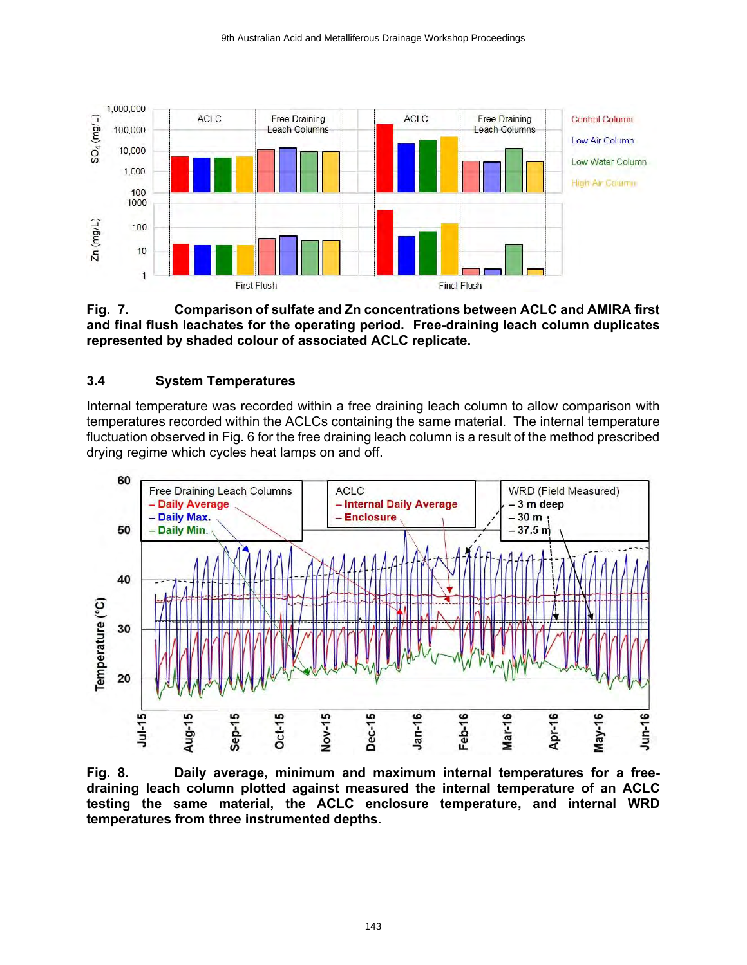

**Fig. 7. Comparison of sulfate and Zn concentrations between ACLC and AMIRA first and final flush leachates for the operating period. Free-draining leach column duplicates represented by shaded colour of associated ACLC replicate.**

## **3.4 System Temperatures**

Internal temperature was recorded within a free draining leach column to allow comparison with temperatures recorded within the ACLCs containing the same material. The internal temperature fluctuation observed in Fig. 6 for the free draining leach column is a result of the method prescribed drying regime which cycles heat lamps on and off.



**Fig. 8. Daily average, minimum and maximum internal temperatures for a freedraining leach column plotted against measured the internal temperature of an ACLC testing the same material, the ACLC enclosure temperature, and internal WRD temperatures from three instrumented depths.**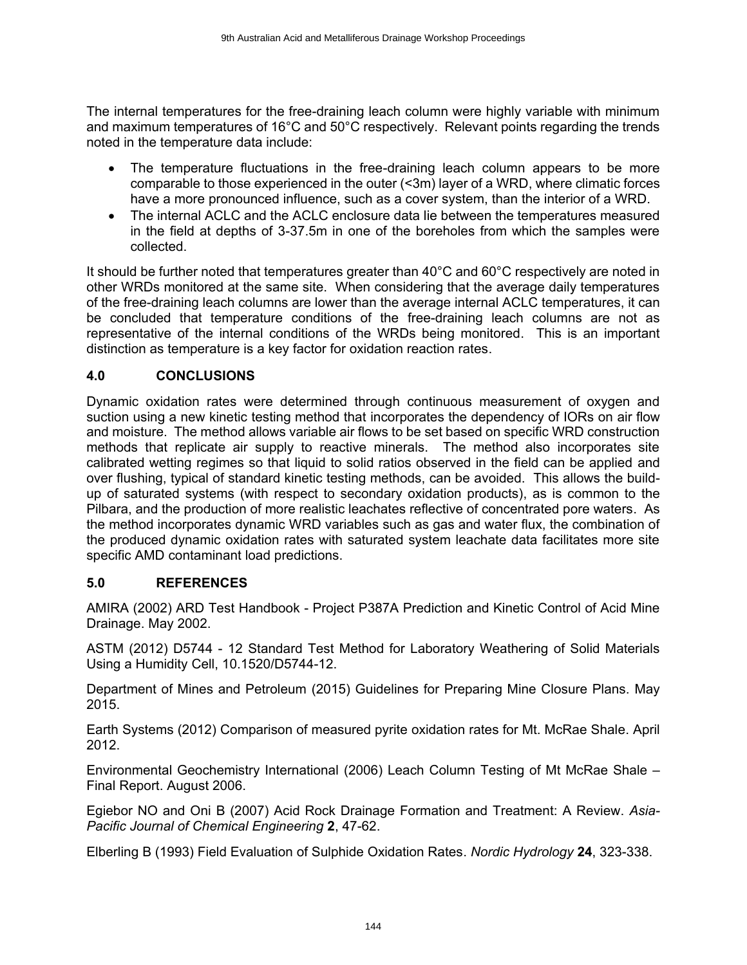The internal temperatures for the free-draining leach column were highly variable with minimum and maximum temperatures of 16°C and 50°C respectively. Relevant points regarding the trends noted in the temperature data include:

- The temperature fluctuations in the free-draining leach column appears to be more comparable to those experienced in the outer (<3m) layer of a WRD, where climatic forces have a more pronounced influence, such as a cover system, than the interior of a WRD.
- The internal ACLC and the ACLC enclosure data lie between the temperatures measured in the field at depths of 3-37.5m in one of the boreholes from which the samples were collected.

It should be further noted that temperatures greater than 40°C and 60°C respectively are noted in other WRDs monitored at the same site. When considering that the average daily temperatures of the free-draining leach columns are lower than the average internal ACLC temperatures, it can be concluded that temperature conditions of the free-draining leach columns are not as representative of the internal conditions of the WRDs being monitored. This is an important distinction as temperature is a key factor for oxidation reaction rates.

## **4.0 CONCLUSIONS**

Dynamic oxidation rates were determined through continuous measurement of oxygen and suction using a new kinetic testing method that incorporates the dependency of IORs on air flow and moisture. The method allows variable air flows to be set based on specific WRD construction methods that replicate air supply to reactive minerals. The method also incorporates site calibrated wetting regimes so that liquid to solid ratios observed in the field can be applied and over flushing, typical of standard kinetic testing methods, can be avoided. This allows the buildup of saturated systems (with respect to secondary oxidation products), as is common to the Pilbara, and the production of more realistic leachates reflective of concentrated pore waters. As the method incorporates dynamic WRD variables such as gas and water flux, the combination of the produced dynamic oxidation rates with saturated system leachate data facilitates more site specific AMD contaminant load predictions.

## **5.0 REFERENCES**

AMIRA (2002) ARD Test Handbook - Project P387A Prediction and Kinetic Control of Acid Mine Drainage. May 2002.

ASTM (2012) D5744 - 12 Standard Test Method for Laboratory Weathering of Solid Materials Using a Humidity Cell, 10.1520/D5744-12.

Department of Mines and Petroleum (2015) Guidelines for Preparing Mine Closure Plans. May 2015.

Earth Systems (2012) Comparison of measured pyrite oxidation rates for Mt. McRae Shale. April 2012.

Environmental Geochemistry International (2006) Leach Column Testing of Mt McRae Shale – Final Report. August 2006.

Egiebor NO and Oni B (2007) Acid Rock Drainage Formation and Treatment: A Review. *Asia-Pacific Journal of Chemical Engineering* **2**, 47-62.

Elberling B (1993) Field Evaluation of Sulphide Oxidation Rates. *Nordic Hydrology* **24**, 323-338.